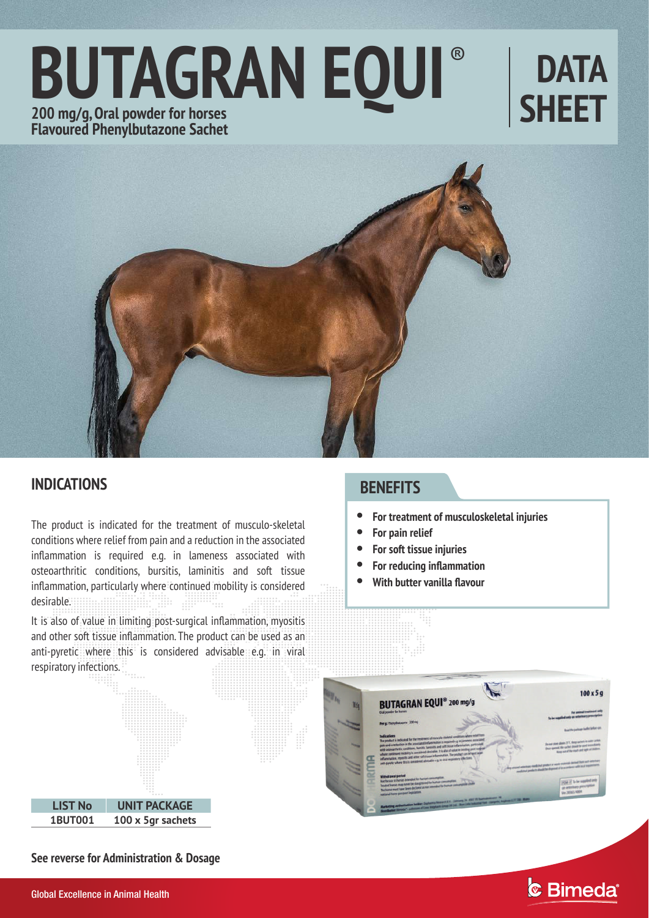# ® **BUTAGRAN EQUI 200 mg/g, Oral powder for horses Flavoured Phenylbutazone Sachet**

# **DATA SHEET**



## **INDICATIONS**

The product is indicated for the treatment of musculo-skeletal conditions where relief from pain and a reduction in the associated inflammation is required e.g. in lameness associated with osteoarthritic conditions, bursitis, laminitis and soft tissue inflammation, particularly where continued mobility is considered desirable. 

It is also of value in limiting post-surgical inflammation, myositis and other soft tissue inflammation. The product can be used as an anti-pyretic where this is considered advisable e.g. in viral respiratory infections.

# **LIST No UNIT PACKAGE 1BUT001 100 x 5gr sachets**

## **BENEFITS**

- **For treatment of musculoskeletal injuries**  $\bullet$
- **For pain relief**  $\bullet$
- **For soft tissue injuries**  $\bullet$
- **For reducing inflammation**  $\bullet$
- **With butter vanilla flavour**  $\bullet$



& Bimeda®

**See reverse for Administration & Dosage**